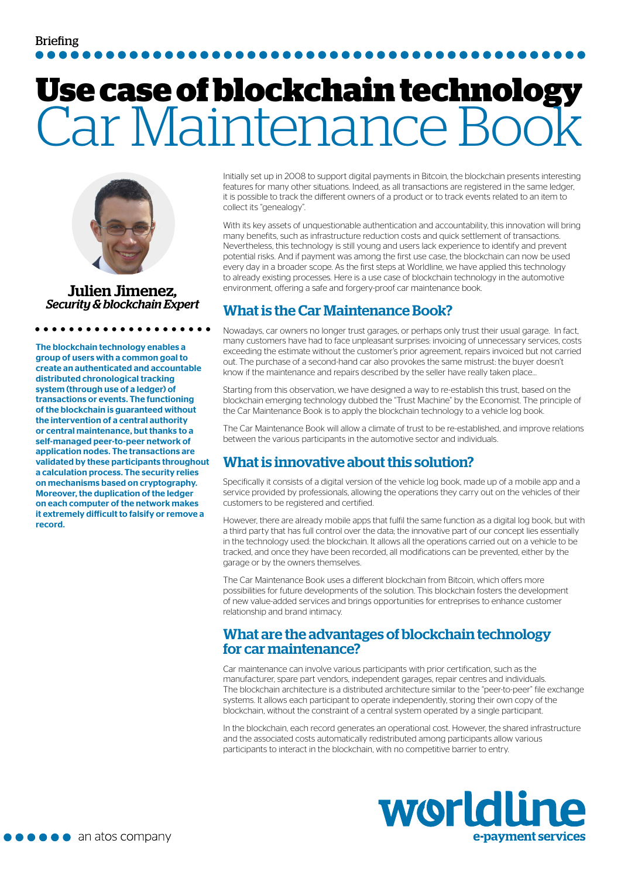# **Use case of blockchain technology** Car Maintenance Book



Julien Jimenez*, Security & blockchain Expert*

The blockchain technology enables a group of users with a common goal to create an authenticated and accountable distributed chronological tracking system (through use of a ledger) of transactions or events. The functioning of the blockchain is guaranteed without the intervention of a central authority or central maintenance, but thanks to a self-managed peer-to-peer network of application nodes. The transactions are validated by these participants throughout a calculation process. The security relies on mechanisms based on cryptography. Moreover, the duplication of the ledger on each computer of the network makes it extremely difficult to falsify or remove a record.

Initially set up in 2008 to support digital payments in Bitcoin, the blockchain presents interesting features for many other situations. Indeed, as all transactions are registered in the same ledger, it is possible to track the different owners of a product or to track events related to an item to collect its "genealogy".

With its key assets of unquestionable authentication and accountability, this innovation will bring many benefits, such as infrastructure reduction costs and quick settlement of transactions. Nevertheless, this technology is still young and users lack experience to identify and prevent potential risks. And if payment was among the first use case, the blockchain can now be used every day in a broader scope. As the first steps at Worldline, we have applied this technology to already existing processes. Here is a use case of blockchain technology in the automotive environment, offering a safe and forgery-proof car maintenance book.

#### What is the Car Maintenance Book?

Nowadays, car owners no longer trust garages, or perhaps only trust their usual garage. In fact, many customers have had to face unpleasant surprises: invoicing of unnecessary services, costs exceeding the estimate without the customer's prior agreement, repairs invoiced but not carried out. The purchase of a second-hand car also provokes the same mistrust: the buyer doesn't know if the maintenance and repairs described by the seller have really taken place...

Starting from this observation, we have designed a way to re-establish this trust, based on the blockchain emerging technology dubbed the "Trust Machine" by the Economist. The principle of the Car Maintenance Book is to apply the blockchain technology to a vehicle log book.

The Car Maintenance Book will allow a climate of trust to be re-established, and improve relations between the various participants in the automotive sector and individuals.

### What is innovative about this solution?

Specifically it consists of a digital version of the vehicle log book, made up of a mobile app and a service provided by professionals, allowing the operations they carry out on the vehicles of their customers to be registered and certified.

However, there are already mobile apps that fulfil the same function as a digital log book, but with a third party that has full control over the data; the innovative part of our concept lies essentially in the technology used: the blockchain. It allows all the operations carried out on a vehicle to be tracked, and once they have been recorded, all modifications can be prevented, either by the garage or by the owners themselves.

The Car Maintenance Book uses a different blockchain from Bitcoin, which offers more possibilities for future developments of the solution. This blockchain fosters the development of new value-added services and brings opportunities for entreprises to enhance customer relationship and brand intimacy.

#### What are the advantages of blockchain technology for car maintenance?

Car maintenance can involve various participants with prior certification, such as the manufacturer, spare part vendors, independent garages, repair centres and individuals. The blockchain architecture is a distributed architecture similar to the "peer-to-peer" file exchange systems. It allows each participant to operate independently, storing their own copy of the blockchain, without the constraint of a central system operated by a single participant.

In the blockchain, each record generates an operational cost. However, the shared infrastructure and the associated costs automatically redistributed among participants allow various participants to interact in the blockchain, with no competitive barrier to entry.